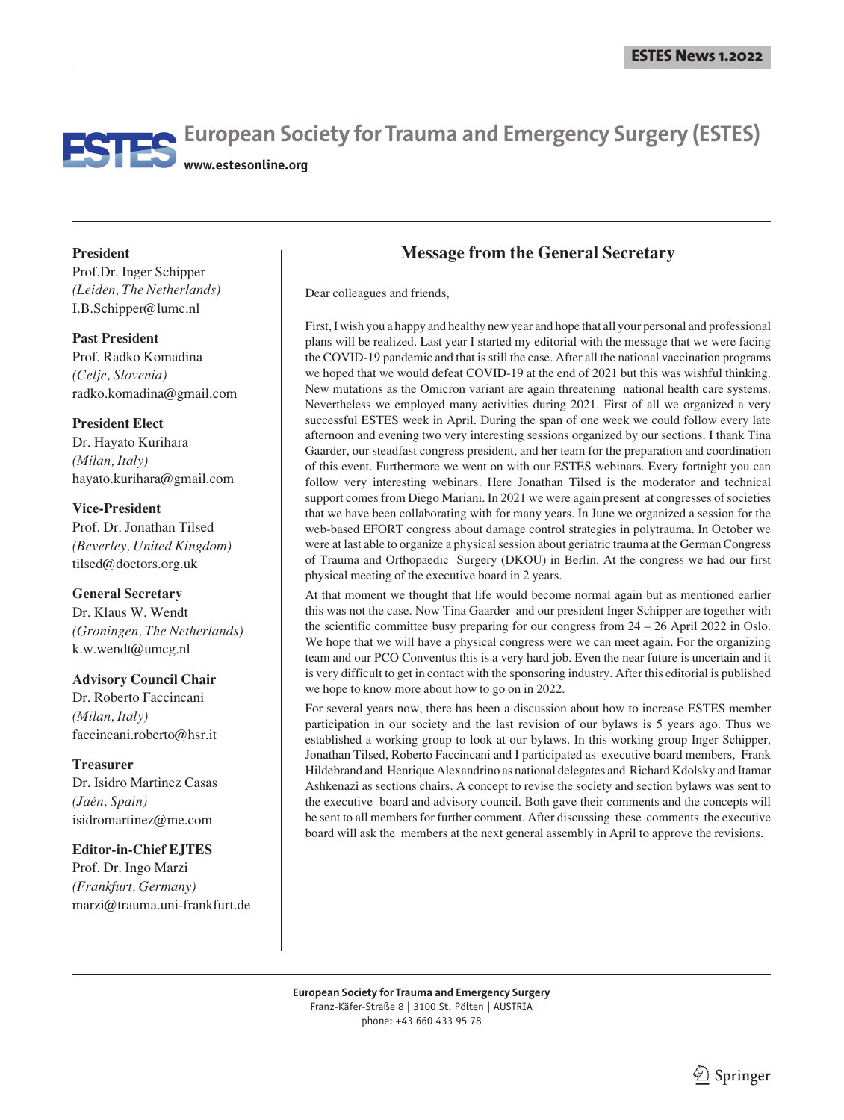# **European Society for Trauma and Emergency Surgery (ESTES) www.estesonline.org**

**President**

Prof.Dr. Inger Schipper *(Leiden, The Netherlands)* I.B.Schipper@lumc.nl

**Past President** Prof. Radko Komadina *(Celje, Slovenia)* radko.komadina@gmail.com

#### **President Elect**

Dr. Hayato Kurihara *(Milan, Italy)* hayato.kurihara@gmail.com

#### **Vice-President**

Prof. Dr. Jonathan Tilsed *(Beverley, United Kingdom)* tilsed@doctors.org.uk

#### **General Secretary**

Dr. Klaus W. Wendt *(Groningen, The Netherlands)* k.w.wendt@umcg.nl

#### **Advisory Council Chair**

Dr. Roberto Faccincani *(Milan, Italy)* faccincani.roberto@hsr.it

**Treasurer** Dr. Isidro Martinez Casas *(Jaén, Spain)* isidromartinez@me.com

#### **Editor-in-Chief EJTES**

Prof. Dr. Ingo Marzi *(Frankfurt, Germany)* marzi@trauma.uni-frankfurt.de

## **Message from the General Secretary**

Dear colleagues and friends,

First, I wish you a happy and healthy new year and hope that all your personal and professional plans will be realized. Last year I started my editorial with the message that we were facing the COVID-19 pandemic and that is still the case. After all the national vaccination programs we hoped that we would defeat COVID-19 at the end of 2021 but this was wishful thinking. New mutations as the Omicron variant are again threatening national health care systems. Nevertheless we employed many activities during 2021. First of all we organized a very successful ESTES week in April. During the span of one week we could follow every late afternoon and evening two very interesting sessions organized by our sections. I thank Tina Gaarder, our steadfast congress president, and her team for the preparation and coordination of this event. Furthermore we went on with our ESTES webinars. Every fortnight you can follow very interesting webinars. Here Jonathan Tilsed is the moderator and technical support comes from Diego Mariani. In 2021 we were again present at congresses of societies that we have been collaborating with for many years. In June we organized a session for the web-based EFORT congress about damage control strategies in polytrauma. In October we were at last able to organize a physical session about geriatric trauma at the German Congress of Trauma and Orthopaedic Surgery (DKOU) in Berlin. At the congress we had our first physical meeting of the executive board in 2 years.

At that moment we thought that life would become normal again but as mentioned earlier this was not the case. Now Tina Gaarder and our president Inger Schipper are together with the scientific committee busy preparing for our congress from  $24 - 26$  April 2022 in Oslo. We hope that we will have a physical congress were we can meet again. For the organizing team and our PCO Conventus this is a very hard job. Even the near future is uncertain and it is very difficult to get in contact with the sponsoring industry. After this editorial is published we hope to know more about how to go on in 2022.

For several years now, there has been a discussion about how to increase ESTES member participation in our society and the last revision of our bylaws is 5 years ago. Thus we established a working group to look at our bylaws. In this working group Inger Schipper, Jonathan Tilsed, Roberto Faccincani and I participated as executive board members, Frank Hildebrand and Henrique Alexandrino as national delegates and Richard Kdolsky and Itamar Ashkenazi as sections chairs. A concept to revise the society and section bylaws was sent to the executive board and advisory council. Both gave their comments and the concepts will be sent to all members for further comment. After discussing these comments the executive board will ask the members at the next general assembly in April to approve the revisions.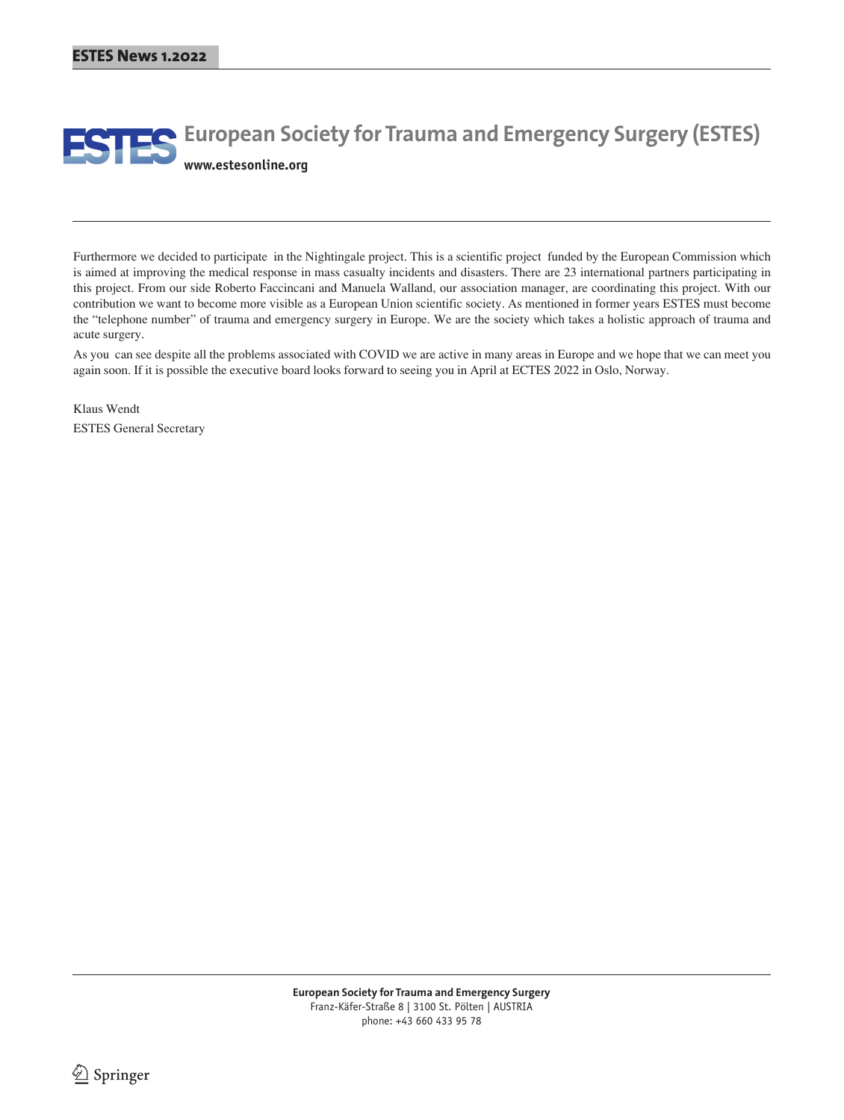# **ESTES** European Society for Trauma and Emergency Surgery (ESTES) **www.estesonline.org**

Furthermore we decided to participate in the Nightingale project. This is a scientific project funded by the European Commission which is aimed at improving the medical response in mass casualty incidents and disasters. There are 23 international partners participating in this project. From our side Roberto Faccincani and Manuela Walland, our association manager, are coordinating this project. With our contribution we want to become more visible as a European Union scientific society. As mentioned in former years ESTES must become the "telephone number" of trauma and emergency surgery in Europe. We are the society which takes a holistic approach of trauma and acute surgery.

As you can see despite all the problems associated with COVID we are active in many areas in Europe and we hope that we can meet you again soon. If it is possible the executive board looks forward to seeing you in April at ECTES 2022 in Oslo, Norway.

Klaus Wendt ESTES General Secretary